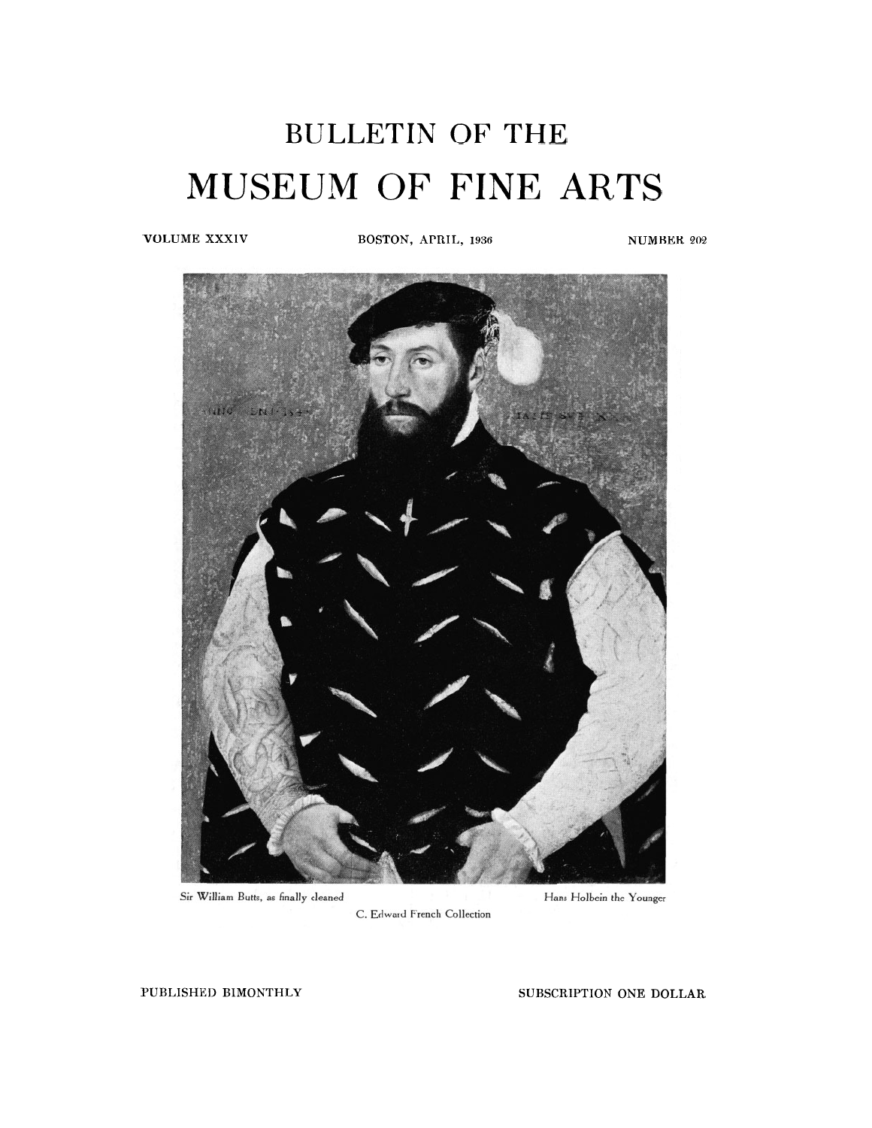## BULLETIN OF THE MUSEUM OF FINE ARTS

**VOLUME XXXIV BOSTON, APRIL, 1936** NUMBER 202



Sir William Butts, as finally cleaned

C. Edward French Collection

Hans Holbein the Younger

**PUBLISHED BIMONTHLY SUBSCRIPTION** ONE **DOLLAR**